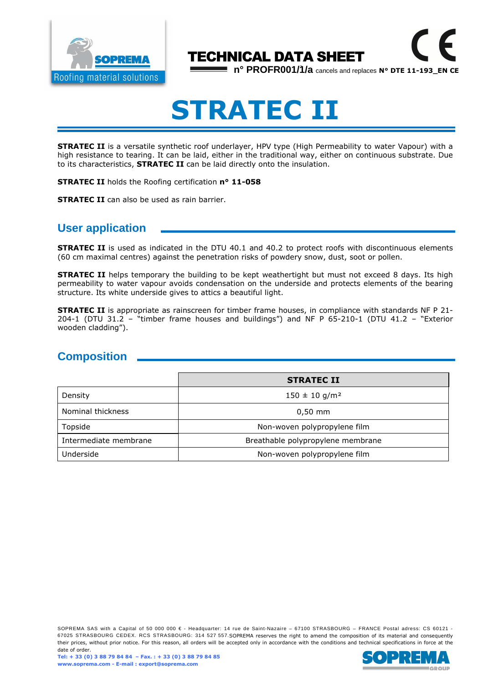

# TECHNICAL DATA SHEET

**n° PROFR001/1/a** cancels and replaces **N° DTE 11-193\_EN CE**

# **STRATEC II**

**STRATEC II** is a versatile synthetic roof underlayer, HPV type (High Permeability to water Vapour) with a high resistance to tearing. It can be laid, either in the traditional way, either on continuous substrate. Due to its characteristics, **STRATEC II** can be laid directly onto the insulation.

**STRATEC II** holds the Roofing certification **n° 11-058**

**STRATEC II** can also be used as rain barrier.

## **User application**

**STRATEC II** is used as indicated in the DTU 40.1 and 40.2 to protect roofs with discontinuous elements (60 cm maximal centres) against the penetration risks of powdery snow, dust, soot or pollen.

**STRATEC II** helps temporary the building to be kept weathertight but must not exceed 8 days. Its high permeability to water vapour avoids condensation on the underside and protects elements of the bearing structure. Its white underside gives to attics a beautiful light.

**STRATEC II** is appropriate as rainscreen for timber frame houses, in compliance with standards NF P 21- 204-1 (DTU 31.2 – "timber frame houses and buildings") and NF P 65-210-1 (DTU 41.2 – "Exterior wooden cladding").

## **Composition**

|                       | <b>STRATEC II</b>                 |  |
|-----------------------|-----------------------------------|--|
| Density               | $150 \pm 10$ g/m <sup>2</sup>     |  |
| Nominal thickness     | $0,50$ mm                         |  |
| Topside               | Non-woven polypropylene film      |  |
| Intermediate membrane | Breathable polypropylene membrane |  |
| Underside             | Non-woven polypropylene film      |  |

SOPREMA SAS with a Capital of 50 000 000 € - Headquarter: 14 rue de Saint-Nazaire – 67100 STRASBOURG – FRANCE Postal adress: CS 60121 -67025 STRASBOURG CEDEX. RCS STRASBOURG: 314 527 557.SOPREMA reserves the right to amend the composition of its material and consequently their prices, without prior notice. For this reason, all orders will be accepted only in accordance with the conditions and technical specifications in force at the date of order.

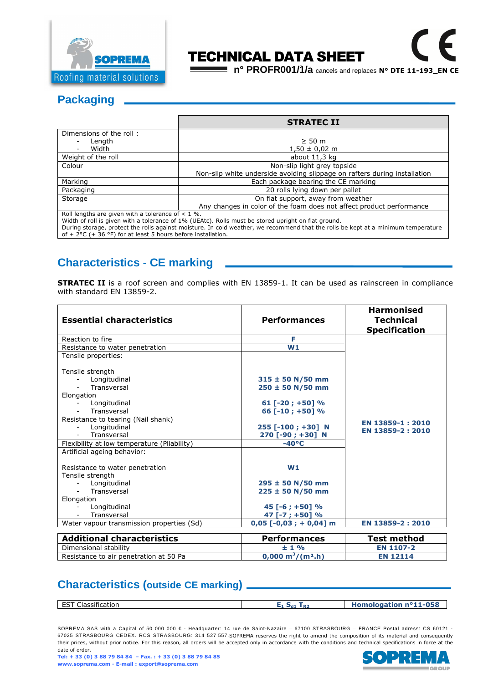

# TECHNICAL DATA SHEET

**n° PROFR001/1/a** cancels and replaces **N° DTE 11-193\_EN CE**

## **Packaging**

|                                                     | <b>STRATEC II</b>                                                         |  |
|-----------------------------------------------------|---------------------------------------------------------------------------|--|
| Dimensions of the roll:                             |                                                                           |  |
| Length                                              | $\geq 50$ m                                                               |  |
| Width                                               | $1,50 \pm 0,02 \text{ m}$                                                 |  |
| Weight of the roll                                  | about $11,3$ kg                                                           |  |
| Colour                                              | Non-slip light grey topside                                               |  |
|                                                     | Non-slip white underside avoiding slippage on rafters during installation |  |
| Marking                                             | Each package bearing the CE marking                                       |  |
| Packaging                                           | 20 rolls lying down per pallet                                            |  |
| Storage                                             | On flat support, away from weather                                        |  |
|                                                     | Any changes in color of the foam does not affect product performance      |  |
| Roll lengths are given with a tolerance of $< 1$ %. |                                                                           |  |

Width of roll is given with a tolerance of 1% (UEAtc). Rolls must be stored upright on flat ground.

During storage, protect the rolls against moisture. In cold weather, we recommend that the rolls be kept at a minimum temperature of + 2°C (+ 36 °F) for at least 5 hours before installation.

## **Characteristics - CE marking**

**STRATEC II** is a roof screen and complies with EN 13859-1. It can be used as rainscreen in compliance with standard EN 13859-2.

| <b>Essential characteristics</b>                                  | <b>Performances</b>                             | <b>Harmonised</b><br><b>Technical</b> |
|-------------------------------------------------------------------|-------------------------------------------------|---------------------------------------|
|                                                                   |                                                 | <b>Specification</b>                  |
| Reaction to fire                                                  | F                                               |                                       |
| Resistance to water penetration                                   | W1                                              |                                       |
| Tensile properties:                                               |                                                 |                                       |
| Tensile strength<br>Longitudinal<br>Transversal<br>Elongation     | $315 \pm 50$ N/50 mm<br>$250 \pm 50$ N/50 mm    |                                       |
| Longitudinal                                                      | 61 [-20; +50] %                                 |                                       |
| Transversal                                                       | 66 [-10 ; +50] %                                |                                       |
| Resistance to tearing (Nail shank)<br>Longitudinal<br>Transversal | 255 [-100 ; +30] N<br>270 [-90 ; +30] N         | EN 13859-1:2010<br>EN 13859-2:2010    |
| Flexibility at low temperature (Pliability)                       | $-40^{\circ}$ C                                 |                                       |
| Artificial ageing behavior:                                       |                                                 |                                       |
| Resistance to water penetration                                   | W1                                              |                                       |
| Tensile strength                                                  |                                                 |                                       |
| Longitudinal                                                      | $295 \pm 50$ N/50 mm                            |                                       |
| Transversal<br>$\sim$                                             | $225 \pm 50$ N/50 mm                            |                                       |
| Elongation                                                        |                                                 |                                       |
| Longitudinal                                                      | $45$ [-6 ; +50] %                               |                                       |
| Transversal                                                       | 47 [-7 ; +50] %                                 |                                       |
| Water vapour transmission properties (Sd)                         | $0.05$ [-0.03 ; + 0.04] m                       | EN 13859-2:2010                       |
| <b>Additional characteristics</b>                                 | <b>Performances</b>                             | <b>Test method</b>                    |
| Dimensional stability                                             | $± 1\%$                                         | <b>EN 1107-2</b>                      |
| Resistance to air penetration at 50 Pa                            | $0,000 \text{ m}^3/(\text{m}^2 \cdot \text{h})$ | <b>EN 12114</b>                       |

## **Characteristics (outside CE marking)**

| . FST CL<br>$\cdot$<br>Classification | R2<br>— ⊿a⊥<br>. . | Homologation nº11-058 |
|---------------------------------------|--------------------|-----------------------|
|                                       |                    |                       |

SOPREMA SAS with a Capital of 50 000 000 € - Headquarter: 14 rue de Saint-Nazaire – 67100 STRASBOURG – FRANCE Postal adress: CS 60121 -67025 STRASBOURG CEDEX. RCS STRASBOURG: 314 527 557.SOPREMA reserves the right to amend the composition of its material and consequently their prices, without prior notice. For this reason, all orders will be accepted only in accordance with the conditions and technical specifications in force at the date of order.